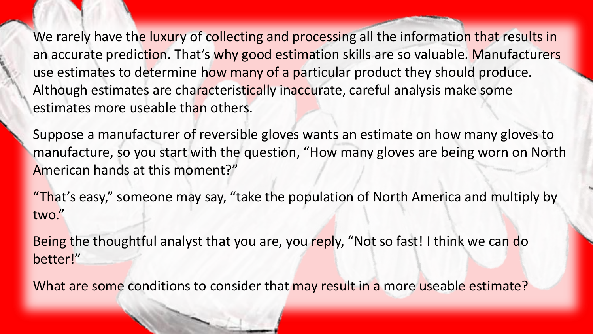We rarely have the luxury of collecting and processing all the information that results in an accurate prediction. That's why good estimation skills are so valuable. Manufacturers use estimates to determine how many of a particular product they should produce. Although estimates are characteristically inaccurate, careful analysis make some estimates more useable than others.

Suppose a manufacturer of reversible gloves wants an estimate on how many gloves to manufacture, so you start with the question, "How many gloves are being worn on North American hands at this moment?"

"That's easy," someone may say, "take the population of North America and multiply by two."

Being the thoughtful analyst that you are, you reply, "Not so fast! I think we can do better!"

What are some conditions to consider that may result in a more useable estimate?